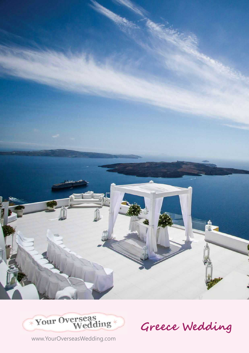



Greece Wedding

www.YourOverseasWedding.com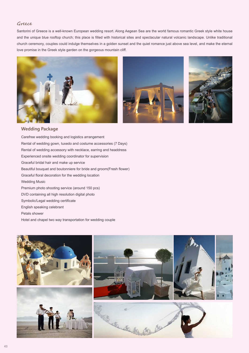## Greece

Santorini of Greece is a well-known European wedding resort. Along Aegean Sea are the world famous romantic Greek style white house and the unique blue rooftop church; this place is filled with historical sites and spectacular natural volcanic landscape. Unlike traditional church ceremony, couples could indulge themselves in a golden sunset and the quiet romance just above sea level, and make the eternal love promise in the Greek style garden on the gorgeous mountain cliff.







## **Wedding Package**

Carefree wedding booking and logistics arrangement Rental of wedding gown, tuxedo and costume accessories (7 Days) Rental of wedding accessory with necklace, earring and headdress Experienced onsite wedding coordinator for supervision Graceful bridal hair and make up service Beautiful bouquet and boutonniere for bride and groom(Fresh flower) Graceful floral decoration for the wedding location Wedding Music Premium photo shooting service (around 150 pcs) DVD containing all high resolution digital photo Symbolic/Legal wedding certificate English speaking celebrant Petals shower Hotel and chapel two way transportation for wedding couple